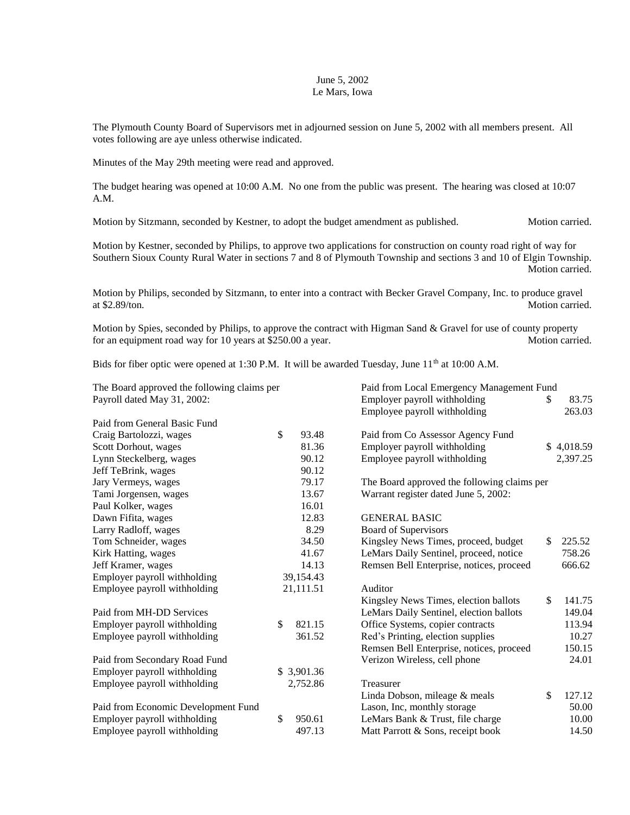## June 5, 2002 Le Mars, Iowa

The Plymouth County Board of Supervisors met in adjourned session on June 5, 2002 with all members present. All votes following are aye unless otherwise indicated.

Minutes of the May 29th meeting were read and approved.

The budget hearing was opened at 10:00 A.M. No one from the public was present. The hearing was closed at 10:07 A.M.

Motion by Sitzmann, seconded by Kestner, to adopt the budget amendment as published. Motion carried.

Motion by Kestner, seconded by Philips, to approve two applications for construction on county road right of way for Southern Sioux County Rural Water in sections 7 and 8 of Plymouth Township and sections 3 and 10 of Elgin Township. Motion carried.

Motion by Philips, seconded by Sitzmann, to enter into a contract with Becker Gravel Company, Inc. to produce gravel at \$2.89/ton. Motion carried.

Motion by Spies, seconded by Philips, to approve the contract with Higman Sand & Gravel for use of county property for an equipment road way for 10 years at \$250.00 a year. Motion carried.

Bids for fiber optic were opened at 1:30 P.M. It will be awarded Tuesday, June  $11<sup>th</sup>$  at 10:00 A.M.

| The Board approved the following claims per |    | Paid from Local Emergency Management Fund |                                             |    |            |
|---------------------------------------------|----|-------------------------------------------|---------------------------------------------|----|------------|
| Payroll dated May 31, 2002:                 |    |                                           | Employer payroll withholding                | \$ | 83.75      |
|                                             |    |                                           | Employee payroll withholding                |    | 263.03     |
| Paid from General Basic Fund                |    |                                           |                                             |    |            |
| Craig Bartolozzi, wages                     | \$ | 93.48                                     | Paid from Co Assessor Agency Fund           |    |            |
| Scott Dorhout, wages                        |    | 81.36                                     | Employer payroll withholding                |    | \$4,018.59 |
| Lynn Steckelberg, wages                     |    | 90.12                                     | Employee payroll withholding                |    | 2,397.25   |
| Jeff TeBrink, wages                         |    | 90.12                                     |                                             |    |            |
| Jary Vermeys, wages                         |    | 79.17                                     | The Board approved the following claims per |    |            |
| Tami Jorgensen, wages                       |    | 13.67                                     | Warrant register dated June 5, 2002:        |    |            |
| Paul Kolker, wages                          |    | 16.01                                     |                                             |    |            |
| Dawn Fifita, wages                          |    | 12.83                                     | <b>GENERAL BASIC</b>                        |    |            |
| Larry Radloff, wages                        |    | 8.29                                      | <b>Board of Supervisors</b>                 |    |            |
| Tom Schneider, wages                        |    | 34.50                                     | Kingsley News Times, proceed, budget        | \$ | 225.52     |
| Kirk Hatting, wages                         |    | 41.67                                     | LeMars Daily Sentinel, proceed, notice      |    | 758.26     |
| Jeff Kramer, wages                          |    | 14.13                                     | Remsen Bell Enterprise, notices, proceed    |    | 666.62     |
| Employer payroll withholding                |    | 39,154.43                                 |                                             |    |            |
| Employee payroll withholding                |    | 21,111.51                                 | Auditor                                     |    |            |
|                                             |    |                                           | Kingsley News Times, election ballots       | \$ | 141.75     |
| Paid from MH-DD Services                    |    |                                           | LeMars Daily Sentinel, election ballots     |    | 149.04     |
| Employer payroll withholding                | \$ | 821.15                                    | Office Systems, copier contracts            |    | 113.94     |
| Employee payroll withholding                |    | 361.52                                    | Red's Printing, election supplies           |    | 10.27      |
|                                             |    |                                           | Remsen Bell Enterprise, notices, proceed    |    | 150.15     |
| Paid from Secondary Road Fund               |    |                                           | Verizon Wireless, cell phone                |    | 24.01      |
| Employer payroll withholding                |    | \$3,901.36                                |                                             |    |            |
| Employee payroll withholding                |    | 2,752.86                                  | Treasurer                                   |    |            |
|                                             |    |                                           | Linda Dobson, mileage & meals               | \$ | 127.12     |
| Paid from Economic Development Fund         |    |                                           | Lason, Inc, monthly storage                 |    | 50.00      |
| Employer payroll withholding                | \$ | 950.61                                    | LeMars Bank & Trust, file charge            |    | 10.00      |
| Employee payroll withholding                |    | 497.13                                    | Matt Parrott & Sons, receipt book           |    | 14.50      |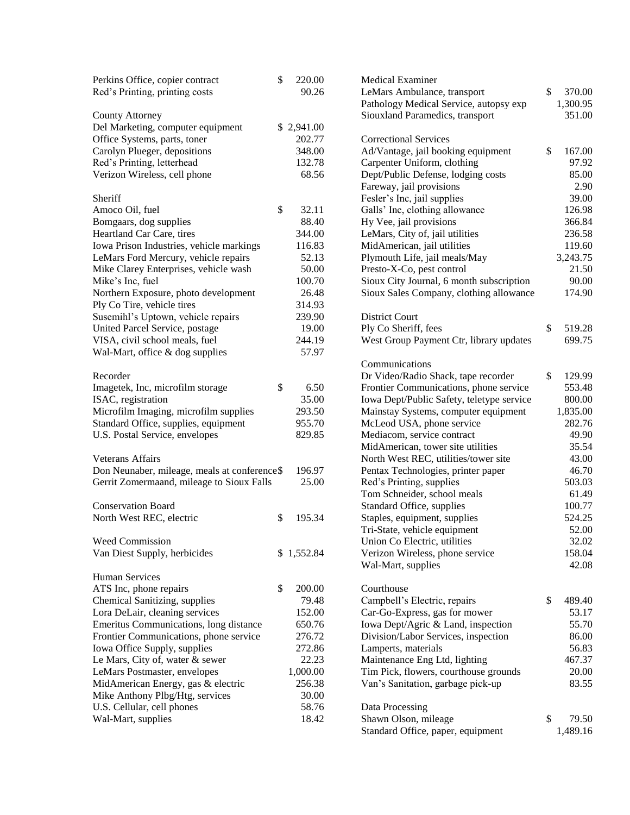| Perkins Office, copier contract              | \$<br>220.00 | <b>Medical Examiner</b>                   |              |
|----------------------------------------------|--------------|-------------------------------------------|--------------|
| Red's Printing, printing costs               | 90.26        | LeMars Ambulance, transport               | \$<br>370.00 |
|                                              |              | Pathology Medical Service, autopsy exp    | 1,300.95     |
| <b>County Attorney</b>                       |              | Siouxland Paramedics, transport           | 351.00       |
| Del Marketing, computer equipment            | \$2,941.00   |                                           |              |
| Office Systems, parts, toner                 | 202.77       | <b>Correctional Services</b>              |              |
| Carolyn Plueger, depositions                 | 348.00       | Ad/Vantage, jail booking equipment        | \$<br>167.00 |
| Red's Printing, letterhead                   | 132.78       | Carpenter Uniform, clothing               | 97.92        |
| Verizon Wireless, cell phone                 | 68.56        | Dept/Public Defense, lodging costs        | 85.00        |
|                                              |              | Fareway, jail provisions                  | 2.90         |
| Sheriff                                      |              | Fesler's Inc, jail supplies               | 39.00        |
| Amoco Oil, fuel                              | \$<br>32.11  | Galls' Inc, clothing allowance            | 126.98       |
| Bomgaars, dog supplies                       | 88.40        | Hy Vee, jail provisions                   | 366.84       |
| Heartland Car Care, tires                    | 344.00       | LeMars, City of, jail utilities           | 236.58       |
| Iowa Prison Industries, vehicle markings     | 116.83       | MidAmerican, jail utilities               | 119.60       |
| LeMars Ford Mercury, vehicle repairs         | 52.13        | Plymouth Life, jail meals/May             | 3,243.75     |
| Mike Clarey Enterprises, vehicle wash        | 50.00        | Presto-X-Co, pest control                 | 21.50        |
| Mike's Inc, fuel                             | 100.70       | Sioux City Journal, 6 month subscription  | 90.00        |
| Northern Exposure, photo development         | 26.48        | Sioux Sales Company, clothing allowance   | 174.90       |
|                                              |              |                                           |              |
| Ply Co Tire, vehicle tires                   | 314.93       |                                           |              |
| Susemihl's Uptown, vehicle repairs           | 239.90       | <b>District Court</b>                     |              |
| United Parcel Service, postage               | 19.00        | Ply Co Sheriff, fees                      | \$<br>519.28 |
| VISA, civil school meals, fuel               | 244.19       | West Group Payment Ctr, library updates   | 699.75       |
| Wal-Mart, office & dog supplies              | 57.97        |                                           |              |
|                                              |              | Communications                            |              |
| Recorder                                     |              | Dr Video/Radio Shack, tape recorder       | \$<br>129.99 |
| Imagetek, Inc, microfilm storage             | \$<br>6.50   | Frontier Communications, phone service    | 553.48       |
| ISAC, registration                           | 35.00        | Iowa Dept/Public Safety, teletype service | 800.00       |
| Microfilm Imaging, microfilm supplies        | 293.50       | Mainstay Systems, computer equipment      | 1,835.00     |
| Standard Office, supplies, equipment         | 955.70       | McLeod USA, phone service                 | 282.76       |
| U.S. Postal Service, envelopes               | 829.85       | Mediacom, service contract                | 49.90        |
|                                              |              | MidAmerican, tower site utilities         | 35.54        |
| <b>Veterans Affairs</b>                      |              | North West REC, utilities/tower site      | 43.00        |
| Don Neunaber, mileage, meals at conference\$ | 196.97       | Pentax Technologies, printer paper        | 46.70        |
| Gerrit Zomermaand, mileage to Sioux Falls    | 25.00        | Red's Printing, supplies                  | 503.03       |
|                                              |              | Tom Schneider, school meals               | 61.49        |
| <b>Conservation Board</b>                    |              | Standard Office, supplies                 | 100.77       |
| North West REC, electric                     | \$<br>195.34 | Staples, equipment, supplies              | 524.25       |
|                                              |              | Tri-State, vehicle equipment              | 52.00        |
| Weed Commission                              |              | Union Co Electric, utilities              | 32.02        |
| Van Diest Supply, herbicides                 | \$1,552.84   | Verizon Wireless, phone service           | 158.04       |
|                                              |              | Wal-Mart, supplies                        | 42.08        |
| <b>Human Services</b>                        |              |                                           |              |
| ATS Inc, phone repairs                       | \$<br>200.00 | Courthouse                                |              |
| Chemical Sanitizing, supplies                | 79.48        | Campbell's Electric, repairs              | \$<br>489.40 |
| Lora DeLair, cleaning services               | 152.00       | Car-Go-Express, gas for mower             | 53.17        |
| Emeritus Communications, long distance       | 650.76       | Iowa Dept/Agric & Land, inspection        | 55.70        |
| Frontier Communications, phone service       | 276.72       | Division/Labor Services, inspection       | 86.00        |
| Iowa Office Supply, supplies                 | 272.86       | Lamperts, materials                       | 56.83        |
| Le Mars, City of, water & sewer              | 22.23        | Maintenance Eng Ltd, lighting             | 467.37       |
| LeMars Postmaster, envelopes                 | 1,000.00     | Tim Pick, flowers, courthouse grounds     | 20.00        |
| MidAmerican Energy, gas & electric           | 256.38       | Van's Sanitation, garbage pick-up         | 83.55        |
| Mike Anthony Plbg/Htg, services              | 30.00        |                                           |              |
| U.S. Cellular, cell phones                   | 58.76        | Data Processing                           |              |
| Wal-Mart, supplies                           | 18.42        | Shawn Olson, mileage                      | \$<br>79.50  |
|                                              |              | Standard Office, paper, equipment         | 1,489.16     |
|                                              |              |                                           |              |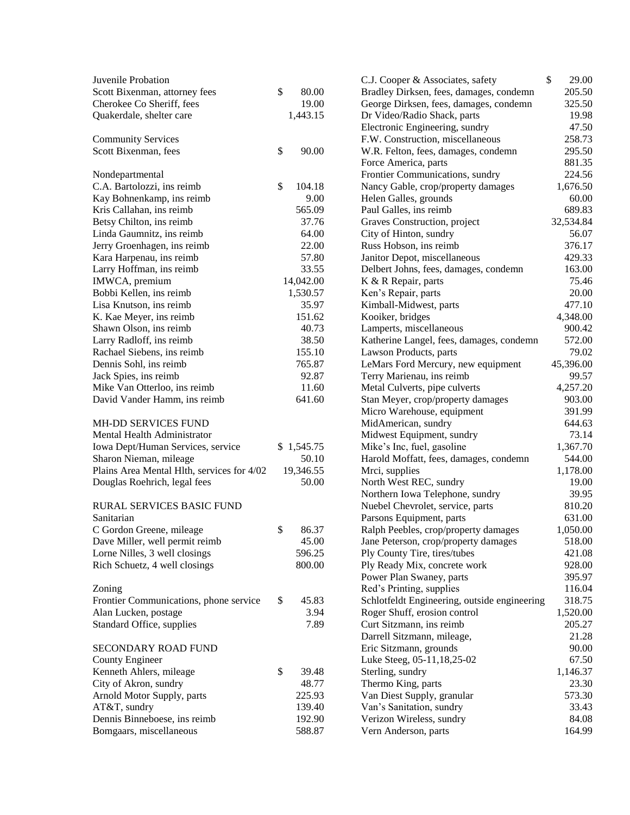| Juvenile Probation                         |            |        | C.J. Cooper & Associates, safety             | \$<br>29.00 |
|--------------------------------------------|------------|--------|----------------------------------------------|-------------|
| Scott Bixenman, attorney fees              | \$         | 80.00  | Bradley Dirksen, fees, damages, condemn      | 205.50      |
| Cherokee Co Sheriff, fees                  |            | 19.00  | George Dirksen, fees, damages, condemn       | 325.50      |
| Quakerdale, shelter care                   | 1,443.15   |        | Dr Video/Radio Shack, parts                  | 19.98       |
|                                            |            |        | Electronic Engineering, sundry               | 47.50       |
| <b>Community Services</b>                  |            |        | F.W. Construction, miscellaneous             | 258.73      |
| Scott Bixenman, fees                       | \$         | 90.00  | W.R. Felton, fees, damages, condemn          | 295.50      |
|                                            |            |        | Force America, parts                         | 881.35      |
| Nondepartmental                            |            |        | Frontier Communications, sundry              | 224.56      |
| C.A. Bartolozzi, ins reimb                 | \$         | 104.18 | Nancy Gable, crop/property damages           | 1,676.50    |
| Kay Bohnenkamp, ins reimb                  |            | 9.00   | Helen Galles, grounds                        | 60.00       |
| Kris Callahan, ins reimb                   |            | 565.09 | Paul Galles, ins reimb                       | 689.83      |
| Betsy Chilton, ins reimb                   |            | 37.76  | Graves Construction, project                 | 32,534.84   |
| Linda Gaumnitz, ins reimb                  |            | 64.00  | City of Hinton, sundry                       | 56.07       |
| Jerry Groenhagen, ins reimb                |            | 22.00  | Russ Hobson, ins reimb                       | 376.17      |
| Kara Harpenau, ins reimb                   |            | 57.80  | Janitor Depot, miscellaneous                 | 429.33      |
| Larry Hoffman, ins reimb                   |            | 33.55  | Delbert Johns, fees, damages, condemn        | 163.00      |
| IMWCA, premium                             | 14,042.00  |        | K & R Repair, parts                          | 75.46       |
| Bobbi Kellen, ins reimb                    | 1,530.57   |        | Ken's Repair, parts                          | 20.00       |
| Lisa Knutson, ins reimb                    |            | 35.97  | Kimball-Midwest, parts                       | 477.10      |
| K. Kae Meyer, ins reimb                    |            | 151.62 | Kooiker, bridges                             | 4,348.00    |
| Shawn Olson, ins reimb                     |            | 40.73  | Lamperts, miscellaneous                      | 900.42      |
| Larry Radloff, ins reimb                   |            | 38.50  | Katherine Langel, fees, damages, condemn     | 572.00      |
| Rachael Siebens, ins reimb                 |            | 155.10 | Lawson Products, parts                       | 79.02       |
| Dennis Sohl, ins reimb                     |            | 765.87 | LeMars Ford Mercury, new equipment           | 45,396.00   |
| Jack Spies, ins reimb                      |            | 92.87  | Terry Marienau, ins reimb                    | 99.57       |
| Mike Van Otterloo, ins reimb               |            | 11.60  | Metal Culverts, pipe culverts                | 4,257.20    |
| David Vander Hamm, ins reimb               |            | 641.60 | Stan Meyer, crop/property damages            | 903.00      |
|                                            |            |        | Micro Warehouse, equipment                   | 391.99      |
| MH-DD SERVICES FUND                        |            |        | MidAmerican, sundry                          | 644.63      |
| Mental Health Administrator                |            |        | Midwest Equipment, sundry                    | 73.14       |
| Iowa Dept/Human Services, service          | \$1,545.75 |        | Mike's Inc, fuel, gasoline                   | 1,367.70    |
| Sharon Nieman, mileage                     |            | 50.10  | Harold Moffatt, fees, damages, condemn       | 544.00      |
| Plains Area Mental Hlth, services for 4/02 | 19,346.55  |        | Mrci, supplies                               | 1,178.00    |
| Douglas Roehrich, legal fees               |            | 50.00  | North West REC, sundry                       | 19.00       |
|                                            |            |        | Northern Iowa Telephone, sundry              | 39.95       |
| RURAL SERVICES BASIC FUND                  |            |        | Nuebel Chevrolet, service, parts             | 810.20      |
| Sanitarian                                 |            |        | Parsons Equipment, parts                     | 631.00      |
| C Gordon Greene, mileage                   | \$         | 86.37  | Ralph Peebles, crop/property damages         | 1,050.00    |
| Dave Miller, well permit reimb             |            | 45.00  | Jane Peterson, crop/property damages         | 518.00      |
| Lorne Nilles, 3 well closings              |            | 596.25 | Ply County Tire, tires/tubes                 | 421.08      |
| Rich Schuetz, 4 well closings              |            | 800.00 | Ply Ready Mix, concrete work                 | 928.00      |
|                                            |            |        | Power Plan Swaney, parts                     | 395.97      |
| Zoning                                     |            |        | Red's Printing, supplies                     | 116.04      |
| Frontier Communications, phone service     | \$         | 45.83  | Schlotfeldt Engineering, outside engineering | 318.75      |
| Alan Lucken, postage                       |            | 3.94   | Roger Shuff, erosion control                 | 1,520.00    |
| Standard Office, supplies                  |            | 7.89   | Curt Sitzmann, ins reimb                     | 205.27      |
|                                            |            |        | Darrell Sitzmann, mileage,                   | 21.28       |
| SECONDARY ROAD FUND                        |            |        | Eric Sitzmann, grounds                       | 90.00       |
| <b>County Engineer</b>                     |            |        | Luke Steeg, 05-11, 18, 25-02                 | 67.50       |
| Kenneth Ahlers, mileage                    | \$         | 39.48  | Sterling, sundry                             | 1,146.37    |
| City of Akron, sundry                      |            | 48.77  | Thermo King, parts                           | 23.30       |
| Arnold Motor Supply, parts                 |            | 225.93 | Van Diest Supply, granular                   | 573.30      |
| AT&T, sundry                               |            | 139.40 | Van's Sanitation, sundry                     | 33.43       |
| Dennis Binneboese, ins reimb               |            | 192.90 | Verizon Wireless, sundry                     | 84.08       |
| Bomgaars, miscellaneous                    |            | 588.87 | Vern Anderson, parts                         | 164.99      |
|                                            |            |        |                                              |             |